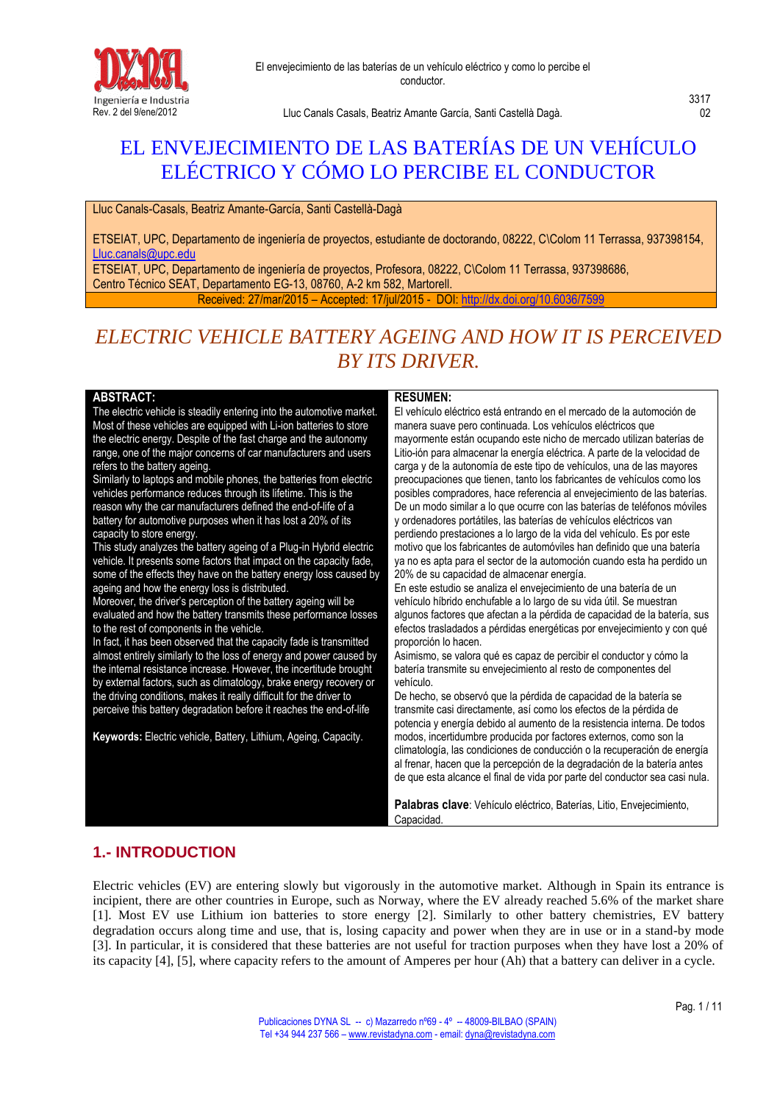

# EL ENVEJECIMIENTO DE LAS BATERÍAS DE UN VEHÍCULO ELÉCTRICO Y CÓMO LO PERCIBE EL CONDUCTOR

Lluc Canals-Casals, Beatriz Amante-García, Santi Castellà-Dagà

ETSEIAT, UPC, Departamento de ingeniería de proyectos, estudiante de doctorando, 08222, C\Colom 11 Terrassa, 937398154, [Lluc.canals@upc.edu](mailto:Lluc.canals@upc.edu)

ETSEIAT, UPC, Departamento de ingeniería de proyectos, Profesora, 08222, C\Colom 11 Terrassa, 937398686, Centro Técnico SEAT, Departamento EG-13, 08760, A-2 km 582, Martorell.

Received: 27/mar/2015 – Accepted: 17/jul/2015 - DOI: http://dx.doi.org/10

# *ELECTRIC VEHICLE BATTERY AGEING AND HOW IT IS PERCEIVED BY ITS DRIVER.*

#### **ABSTRACT:**

The electric vehicle is steadily entering into the automotive market. Most of these vehicles are equipped with Li-ion batteries to store the electric energy. Despite of the fast charge and the autonomy range, one of the major concerns of car manufacturers and users refers to the battery ageing.

Similarly to laptops and mobile phones, the batteries from electric vehicles performance reduces through its lifetime. This is the reason why the car manufacturers defined the end-of-life of a battery for automotive purposes when it has lost a 20% of its capacity to store energy.

This study analyzes the battery ageing of a Plug-in Hybrid electric vehicle. It presents some factors that impact on the capacity fade, some of the effects they have on the battery energy loss caused by ageing and how the energy loss is distributed.

Moreover, the driver's perception of the battery ageing will be evaluated and how the battery transmits these performance losses to the rest of components in the vehicle.

In fact, it has been observed that the capacity fade is transmitted almost entirely similarly to the loss of energy and power caused by the internal resistance increase. However, the incertitude brought by external factors, such as climatology, brake energy recovery or the driving conditions, makes it really difficult for the driver to perceive this battery degradation before it reaches the end-of-life

**Keywords:** Electric vehicle, Battery, Lithium, Ageing, Capacity.

#### **RESUMEN:**

El vehículo eléctrico está entrando en el mercado de la automoción de manera suave pero continuada. Los vehículos eléctricos que mayormente están ocupando este nicho de mercado utilizan baterías de Litio-ión para almacenar la energía eléctrica. A parte de la velocidad de carga y de la autonomía de este tipo de vehículos, una de las mayores preocupaciones que tienen, tanto los fabricantes de vehículos como los posibles compradores, hace referencia al envejecimiento de las baterías. De un modo similar a lo que ocurre con las baterías de teléfonos móviles y ordenadores portátiles, las baterías de vehículos eléctricos van perdiendo prestaciones a lo largo de la vida del vehículo. Es por este motivo que los fabricantes de automóviles han definido que una batería ya no es apta para el sector de la automoción cuando esta ha perdido un 20% de su capacidad de almacenar energía.

En este estudio se analiza el envejecimiento de una batería de un vehículo híbrido enchufable a lo largo de su vida útil. Se muestran algunos factores que afectan a la pérdida de capacidad de la batería, sus efectos trasladados a pérdidas energéticas por envejecimiento y con qué proporción lo hacen.

Asimismo, se valora qué es capaz de percibir el conductor y cómo la batería transmite su envejecimiento al resto de componentes del vehículo.

De hecho, se observó que la pérdida de capacidad de la batería se transmite casi directamente, así como los efectos de la pérdida de potencia y energía debido al aumento de la resistencia interna. De todos modos, incertidumbre producida por factores externos, como son la climatología, las condiciones de conducción o la recuperación de energía al frenar, hacen que la percepción de la degradación de la batería antes de que esta alcance el final de vida por parte del conductor sea casi nula.

**Palabras clave**: Vehículo eléctrico, Baterías, Litio, Envejecimiento, Capacidad.

# **1.- INTRODUCTION**

Electric vehicles (EV) are entering slowly but vigorously in the automotive market. Although in Spain its entrance is incipient, there are other countries in Europe, such as Norway, where the EV already reached 5.6% of the market share [1]. Most EV use Lithium ion batteries to store energy [2]. Similarly to other battery chemistries, EV battery degradation occurs along time and use, that is, losing capacity and power when they are in use or in a stand-by mode [3]. In particular, it is considered that these batteries are not useful for traction purposes when they have lost a 20% of its capacity [4], [5], where capacity refers to the amount of Amperes per hour (Ah) that a battery can deliver in a cycle.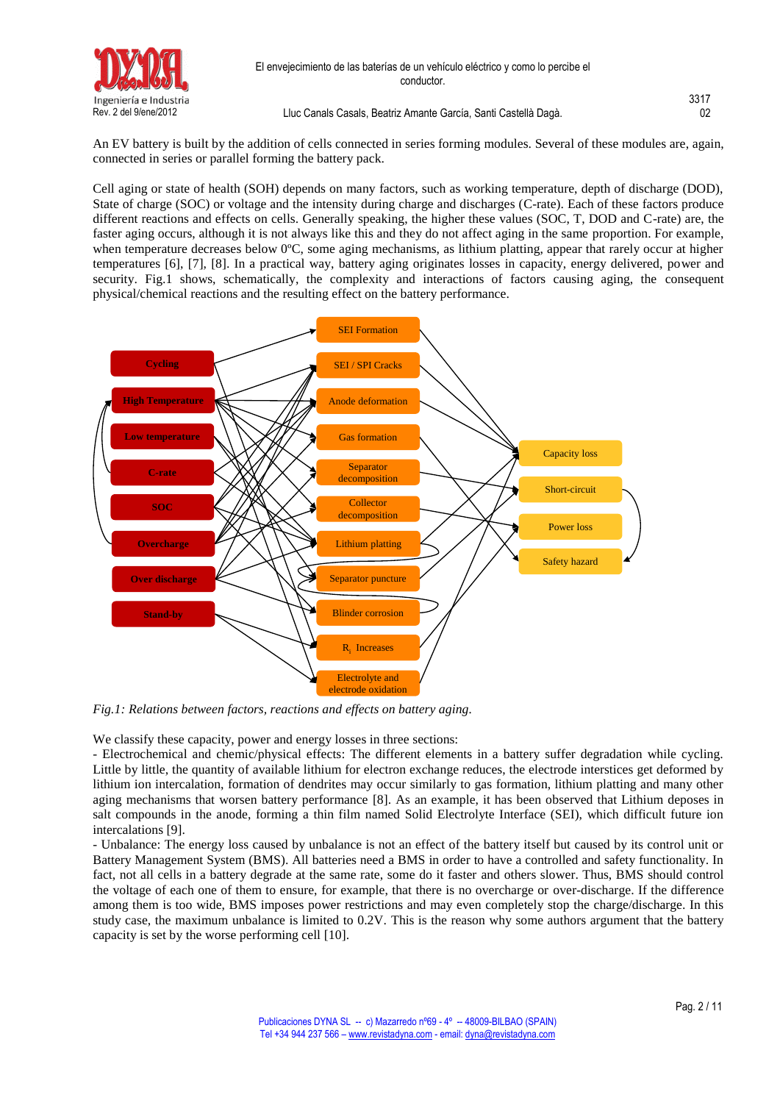

| Ingeniería e Industria |                                                                 | 3317 |
|------------------------|-----------------------------------------------------------------|------|
| Rev. 2 del 9/ene/2012  | Lluc Canals Casals, Beatriz Amante García, Santi Castellà Dagà. | 02   |

An EV battery is built by the addition of cells connected in series forming modules. Several of these modules are, again, connected in series or parallel forming the battery pack.

Cell aging or state of health (SOH) depends on many factors, such as working temperature, depth of discharge (DOD), State of charge (SOC) or voltage and the intensity during charge and discharges (C-rate). Each of these factors produce different reactions and effects on cells. Generally speaking, the higher these values (SOC, T, DOD and C-rate) are, the faster aging occurs, although it is not always like this and they do not affect aging in the same proportion. For example, when temperature decreases below 0°C, some aging mechanisms, as lithium platting, appear that rarely occur at higher temperatures [6], [7], [8]. In a practical way, battery aging originates losses in capacity, energy delivered, power and security. Fig.1 shows, schematically, the complexity and interactions of factors causing aging, the consequent physical/chemical reactions and the resulting effect on the battery performance.



*Fig.1: Relations between factors, reactions and effects on battery aging.*

We classify these capacity, power and energy losses in three sections:

- Electrochemical and chemic/physical effects: The different elements in a battery suffer degradation while cycling. Little by little, the quantity of available lithium for electron exchange reduces, the electrode interstices get deformed by lithium ion intercalation, formation of dendrites may occur similarly to gas formation, lithium platting and many other aging mechanisms that worsen battery performance [8]. As an example, it has been observed that Lithium deposes in salt compounds in the anode, forming a thin film named Solid Electrolyte Interface (SEI), which difficult future ion intercalations [9].

- Unbalance: The energy loss caused by unbalance is not an effect of the battery itself but caused by its control unit or Battery Management System (BMS). All batteries need a BMS in order to have a controlled and safety functionality. In fact, not all cells in a battery degrade at the same rate, some do it faster and others slower. Thus, BMS should control the voltage of each one of them to ensure, for example, that there is no overcharge or over-discharge. If the difference among them is too wide, BMS imposes power restrictions and may even completely stop the charge/discharge. In this study case, the maximum unbalance is limited to 0.2V. This is the reason why some authors argument that the battery capacity is set by the worse performing cell [10].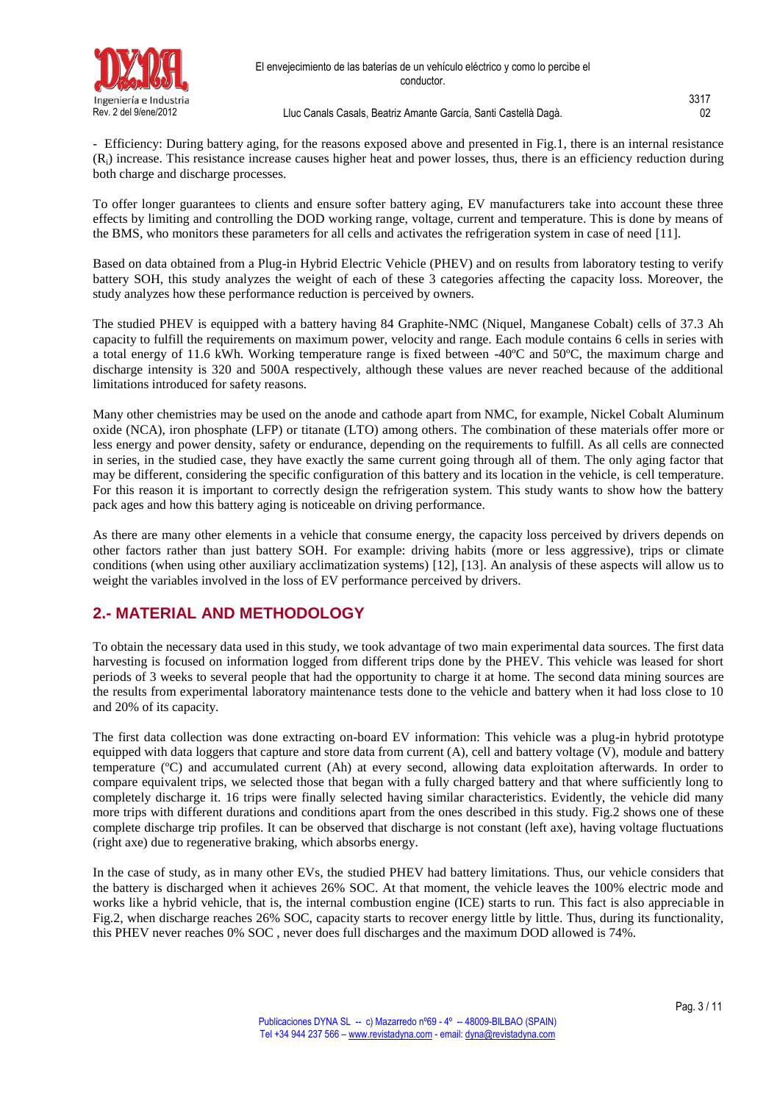

- Efficiency: During battery aging, for the reasons exposed above and presented in Fig.1, there is an internal resistance  $(R<sub>i</sub>)$  increase. This resistance increase causes higher heat and power losses, thus, there is an efficiency reduction during both charge and discharge processes.

To offer longer guarantees to clients and ensure softer battery aging, EV manufacturers take into account these three effects by limiting and controlling the DOD working range, voltage, current and temperature. This is done by means of the BMS, who monitors these parameters for all cells and activates the refrigeration system in case of need [11].

Based on data obtained from a Plug-in Hybrid Electric Vehicle (PHEV) and on results from laboratory testing to verify battery SOH, this study analyzes the weight of each of these 3 categories affecting the capacity loss. Moreover, the study analyzes how these performance reduction is perceived by owners.

The studied PHEV is equipped with a battery having 84 Graphite-NMC (Niquel, Manganese Cobalt) cells of 37.3 Ah capacity to fulfill the requirements on maximum power, velocity and range. Each module contains 6 cells in series with a total energy of 11.6 kWh. Working temperature range is fixed between -40ºC and 50ºC, the maximum charge and discharge intensity is 320 and 500A respectively, although these values are never reached because of the additional limitations introduced for safety reasons.

Many other chemistries may be used on the anode and cathode apart from NMC, for example, Nickel Cobalt Aluminum oxide (NCA), iron phosphate (LFP) or titanate (LTO) among others. The combination of these materials offer more or less energy and power density, safety or endurance, depending on the requirements to fulfill. As all cells are connected in series, in the studied case, they have exactly the same current going through all of them. The only aging factor that may be different, considering the specific configuration of this battery and its location in the vehicle, is cell temperature. For this reason it is important to correctly design the refrigeration system. This study wants to show how the battery pack ages and how this battery aging is noticeable on driving performance.

As there are many other elements in a vehicle that consume energy, the capacity loss perceived by drivers depends on other factors rather than just battery SOH. For example: driving habits (more or less aggressive), trips or climate conditions (when using other auxiliary acclimatization systems) [12], [13]. An analysis of these aspects will allow us to weight the variables involved in the loss of EV performance perceived by drivers.

# **2.- MATERIAL AND METHODOLOGY**

To obtain the necessary data used in this study, we took advantage of two main experimental data sources. The first data harvesting is focused on information logged from different trips done by the PHEV. This vehicle was leased for short periods of 3 weeks to several people that had the opportunity to charge it at home. The second data mining sources are the results from experimental laboratory maintenance tests done to the vehicle and battery when it had loss close to 10 and 20% of its capacity.

The first data collection was done extracting on-board EV information: This vehicle was a plug-in hybrid prototype equipped with data loggers that capture and store data from current (A), cell and battery voltage (V), module and battery temperature (ºC) and accumulated current (Ah) at every second, allowing data exploitation afterwards. In order to compare equivalent trips, we selected those that began with a fully charged battery and that where sufficiently long to completely discharge it. 16 trips were finally selected having similar characteristics. Evidently, the vehicle did many more trips with different durations and conditions apart from the ones described in this study. Fig.2 shows one of these complete discharge trip profiles. It can be observed that discharge is not constant (left axe), having voltage fluctuations (right axe) due to regenerative braking, which absorbs energy.

In the case of study, as in many other EVs, the studied PHEV had battery limitations. Thus, our vehicle considers that the battery is discharged when it achieves 26% SOC. At that moment, the vehicle leaves the 100% electric mode and works like a hybrid vehicle, that is, the internal combustion engine (ICE) starts to run. This fact is also appreciable in Fig.2, when discharge reaches 26% SOC, capacity starts to recover energy little by little. Thus, during its functionality, this PHEV never reaches 0% SOC , never does full discharges and the maximum DOD allowed is 74%.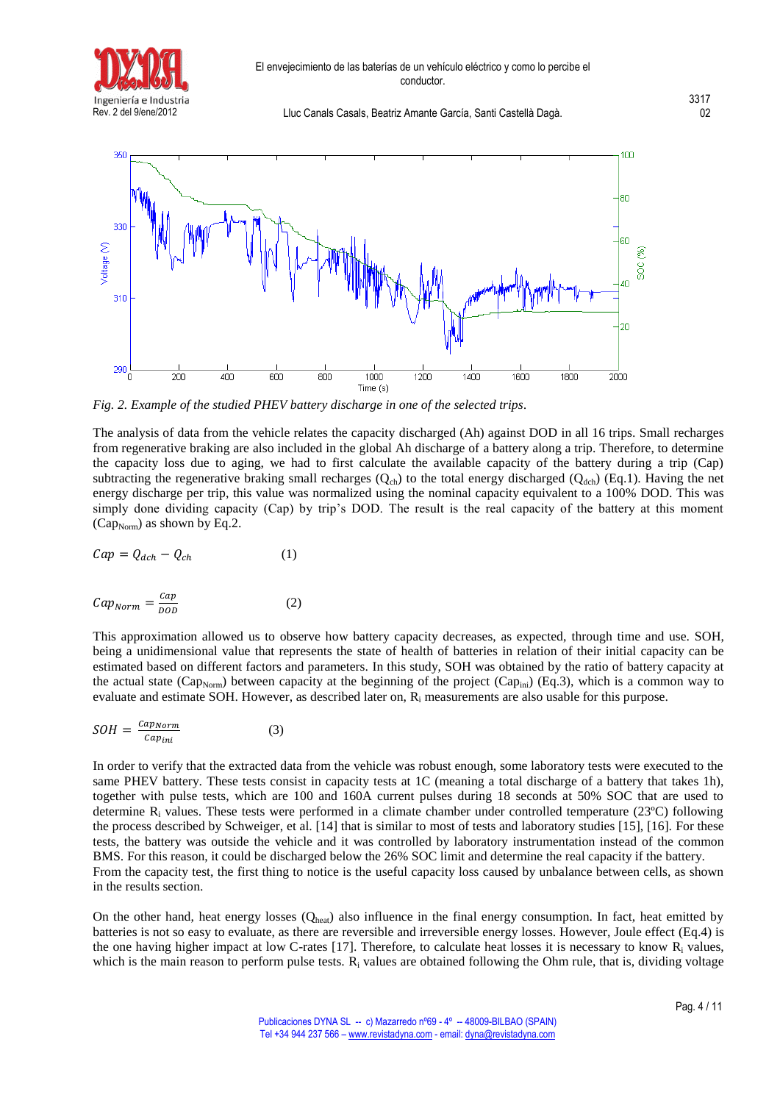



*Fig. 2. Example of the studied PHEV battery discharge in one of the selected trips.* 

The analysis of data from the vehicle relates the capacity discharged (Ah) against DOD in all 16 trips. Small recharges from regenerative braking are also included in the global Ah discharge of a battery along a trip. Therefore, to determine the capacity loss due to aging, we had to first calculate the available capacity of the battery during a trip (Cap) subtracting the regenerative braking small recharges  $(Q<sub>ch</sub>)$  to the total energy discharged  $(Q<sub>de</sub>)$  (Eq.1). Having the net energy discharge per trip, this value was normalized using the nominal capacity equivalent to a 100% DOD. This was simply done dividing capacity (Cap) by trip's DOD. The result is the real capacity of the battery at this moment (Cap<sub>Norm</sub>) as shown by Eq.2.

$$
Cap = Q_{dch} - Q_{ch} \tag{1}
$$

$$
Cap_{Norm} = \frac{cap}{DOD}
$$
 (2)

This approximation allowed us to observe how battery capacity decreases, as expected, through time and use. SOH, being a unidimensional value that represents the state of health of batteries in relation of their initial capacity can be estimated based on different factors and parameters. In this study, SOH was obtained by the ratio of battery capacity at the actual state (Cap<sub>Norm</sub>) between capacity at the beginning of the project (Cap<sub>ini</sub>) (Eq.3), which is a common way to evaluate and estimate SOH. However, as described later on, R<sup>i</sup> measurements are also usable for this purpose.

$$
SOH = \frac{Cap_{Norm}}{cap_{ini}} \tag{3}
$$

In order to verify that the extracted data from the vehicle was robust enough, some laboratory tests were executed to the same PHEV battery. These tests consist in capacity tests at 1C (meaning a total discharge of a battery that takes 1h), together with pulse tests, which are 100 and 160A current pulses during 18 seconds at 50% SOC that are used to determine R<sup>i</sup> values. These tests were performed in a climate chamber under controlled temperature (23ºC) following the process described by Schweiger, et al. [14] that is similar to most of tests and laboratory studies [15], [16]. For these tests, the battery was outside the vehicle and it was controlled by laboratory instrumentation instead of the common BMS. For this reason, it could be discharged below the 26% SOC limit and determine the real capacity if the battery. From the capacity test, the first thing to notice is the useful capacity loss caused by unbalance between cells, as shown in the results section.

On the other hand, heat energy losses  $(Q_{\text{heat}})$  also influence in the final energy consumption. In fact, heat emitted by batteries is not so easy to evaluate, as there are reversible and irreversible energy losses. However, Joule effect (Eq.4) is the one having higher impact at low C-rates [17]. Therefore, to calculate heat losses it is necessary to know  $R_i$  values, which is the main reason to perform pulse tests.  $R_i$  values are obtained following the Ohm rule, that is, dividing voltage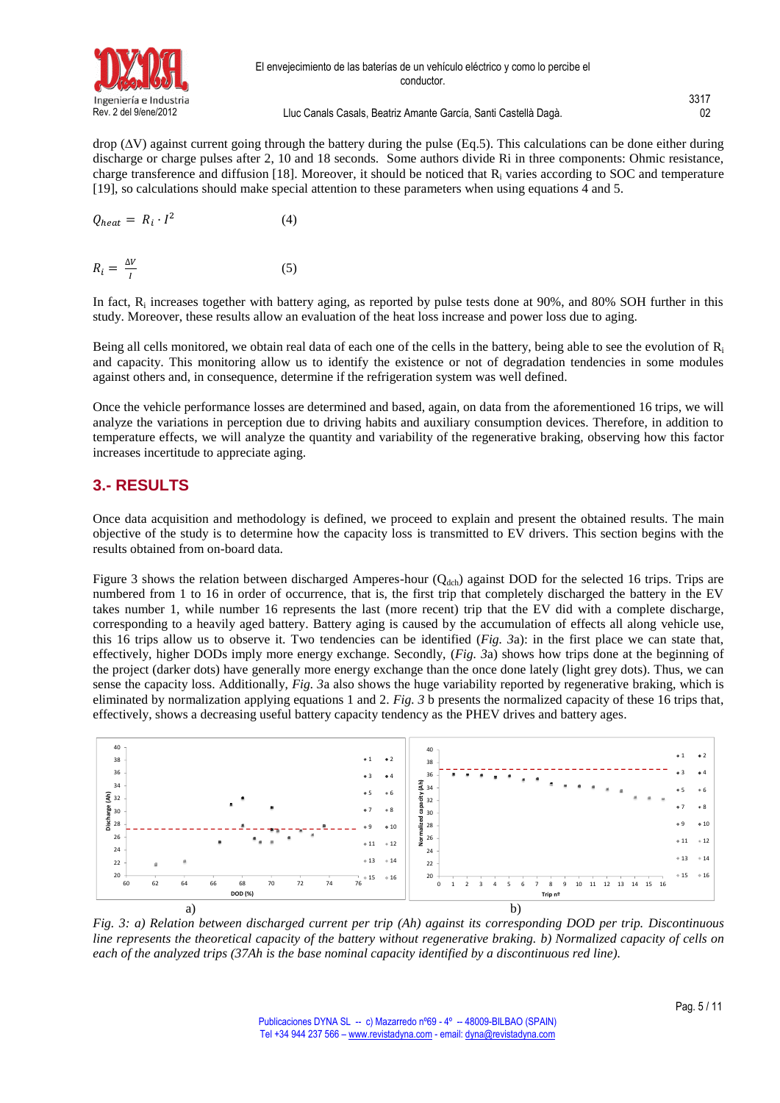

drop (∆V) against current going through the battery during the pulse (Eq.5). This calculations can be done either during discharge or charge pulses after 2, 10 and 18 seconds. Some authors divide Ri in three components: Ohmic resistance, charge transference and diffusion [18]. Moreover, it should be noticed that  $R_i$  varies according to SOC and temperature [19], so calculations should make special attention to these parameters when using equations 4 and 5.

$$
Q_{heat} = R_i \cdot I^2 \tag{4}
$$

$$
R_i = \frac{\Delta V}{I} \tag{5}
$$

In fact, R<sub>i</sub> increases together with battery aging, as reported by pulse tests done at 90%, and 80% SOH further in this study. Moreover, these results allow an evaluation of the heat loss increase and power loss due to aging.

Being all cells monitored, we obtain real data of each one of the cells in the battery, being able to see the evolution of  $R_i$ and capacity. This monitoring allow us to identify the existence or not of degradation tendencies in some modules against others and, in consequence, determine if the refrigeration system was well defined.

Once the vehicle performance losses are determined and based, again, on data from the aforementioned 16 trips, we will analyze the variations in perception due to driving habits and auxiliary consumption devices. Therefore, in addition to temperature effects, we will analyze the quantity and variability of the regenerative braking, observing how this factor increases incertitude to appreciate aging.

### **3.- RESULTS**

Once data acquisition and methodology is defined, we proceed to explain and present the obtained results. The main objective of the study is to determine how the capacity loss is transmitted to EV drivers. This section begins with the results obtained from on-board data.

Figure 3 shows the relation between discharged Amperes-hour ( $Q_{dch}$ ) against DOD for the selected 16 trips. Trips are numbered from 1 to 16 in order of occurrence, that is, the first trip that completely discharged the battery in the EV takes number 1, while number 16 represents the last (more recent) trip that the EV did with a complete discharge, corresponding to a heavily aged battery. Battery aging is caused by the accumulation of effects all along vehicle use, this 16 trips allow us to observe it. Two tendencies can be identified (*Fig. 3*a): in the first place we can state that, effectively, higher DODs imply more energy exchange. Secondly, (*Fig. 3*a) shows how trips done at the beginning of the project (darker dots) have generally more energy exchange than the once done lately (light grey dots). Thus, we can sense the capacity loss. Additionally, *Fig. 3*a also shows the huge variability reported by regenerative braking, which is eliminated by normalization applying equations 1 and 2. *[Fig. 3](#page-4-0)* b presents the normalized capacity of these 16 trips that, effectively, shows a decreasing useful battery capacity tendency as the PHEV drives and battery ages.



<span id="page-4-0"></span>*Fig. 3: a) Relation between discharged current per trip (Ah) against its corresponding DOD per trip. Discontinuous line represents the theoretical capacity of the battery without regenerative braking. b) Normalized capacity of cells on each of the analyzed trips (37Ah is the base nominal capacity identified by a discontinuous red line).*

3317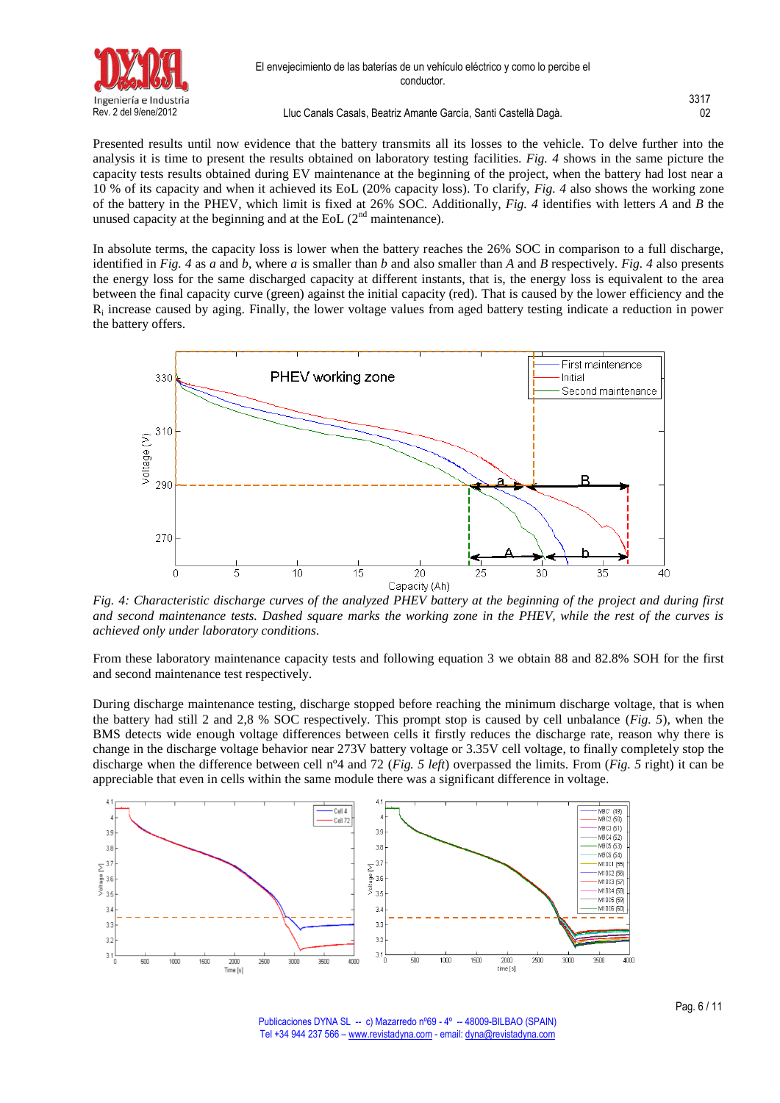

Presented results until now evidence that the battery transmits all its losses to the vehicle. To delve further into the analysis it is time to present the results obtained on laboratory testing facilities. *Fig. 4* shows in the same picture the capacity tests results obtained during EV maintenance at the beginning of the project, when the battery had lost near a 10 % of its capacity and when it achieved its EoL (20% capacity loss). To clarify, *Fig. 4* also shows the working zone of the battery in the PHEV, which limit is fixed at 26% SOC. Additionally, *Fig. 4* identifies with letters *A* and *B* the unused capacity at the beginning and at the EoL  $(2<sup>nd</sup>$  maintenance).

In absolute terms, the capacity loss is lower when the battery reaches the 26% SOC in comparison to a full discharge, identified in *Fig. 4* as *a* and *b*, where *a* is smaller than *b* and also smaller than *A* and *B* respectively. *Fig. 4* also presents the energy loss for the same discharged capacity at different instants, that is, the energy loss is equivalent to the area between the final capacity curve (green) against the initial capacity (red). That is caused by the lower efficiency and the R<sub>i</sub> increase caused by aging. Finally, the lower voltage values from aged battery testing indicate a reduction in power the battery offers.



*Fig. 4: Characteristic discharge curves of the analyzed PHEV battery at the beginning of the project and during first and second maintenance tests. Dashed square marks the working zone in the PHEV, while the rest of the curves is achieved only under laboratory conditions.*

From these laboratory maintenance capacity tests and following equation 3 we obtain 88 and 82.8% SOH for the first and second maintenance test respectively.

During discharge maintenance testing, discharge stopped before reaching the minimum discharge voltage, that is when the battery had still 2 and 2,8 % SOC respectively. This prompt stop is caused by cell unbalance (*Fig. 5*), when the BMS detects wide enough voltage differences between cells it firstly reduces the discharge rate, reason why there is change in the discharge voltage behavior near 273V battery voltage or 3.35V cell voltage, to finally completely stop the discharge when the difference between cell nº4 and 72 (*Fig. 5 left*) overpassed the limits. From (*Fig. 5* right) it can be appreciable that even in cells within the same module there was a significant difference in voltage.



Publicaciones DYNA SL -- c) Mazarredo nº69 - 4º -- 48009-BILBAO (SPAIN) Tel +34 944 237 566 – [www.revistadyna.com](http://www.revistadyna.com/) - email[: dyna@revistadyna.com](mailto:dyna@revistadyna.com)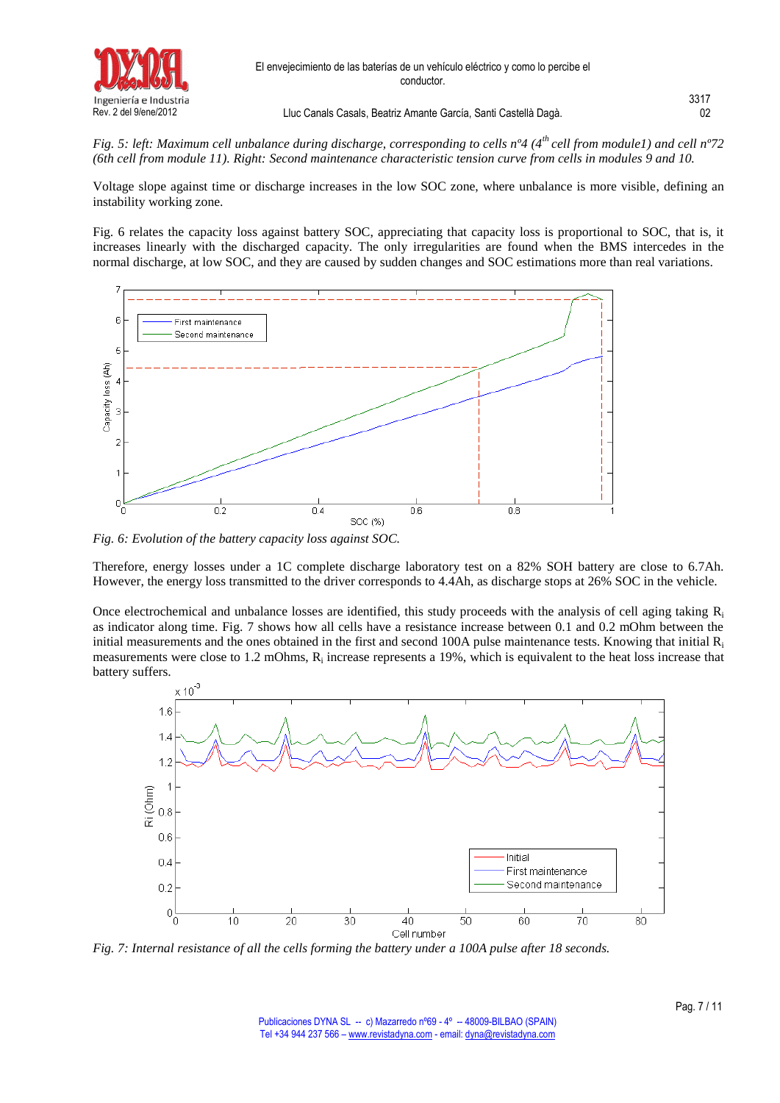

*Fig. 5: left: Maximum cell unbalance during discharge, corresponding to cells nº4 (4th cell from module1) and cell nº72 (6th cell from module 11). Right: Second maintenance characteristic tension curve from cells in modules 9 and 10.*

Voltage slope against time or discharge increases in the low SOC zone, where unbalance is more visible, defining an instability working zone.

Fig. 6 relates the capacity loss against battery SOC, appreciating that capacity loss is proportional to SOC, that is, it increases linearly with the discharged capacity. The only irregularities are found when the BMS intercedes in the normal discharge, at low SOC, and they are caused by sudden changes and SOC estimations more than real variations.



*Fig. 6: Evolution of the battery capacity loss against SOC.*

Therefore, energy losses under a 1C complete discharge laboratory test on a 82% SOH battery are close to 6.7Ah. However, the energy loss transmitted to the driver corresponds to 4.4Ah, as discharge stops at 26% SOC in the vehicle.

Once electrochemical and unbalance losses are identified, this study proceeds with the analysis of cell aging taking  $R_i$ as indicator along time. Fig. 7 shows how all cells have a resistance increase between 0.1 and 0.2 mOhm between the initial measurements and the ones obtained in the first and second 100A pulse maintenance tests. Knowing that initial  $R_i$ measurements were close to 1.2 mOhms,  $R_i$  increase represents a 19%, which is equivalent to the heat loss increase that battery suffers.



*Fig. 7: Internal resistance of all the cells forming the battery under a 100A pulse after 18 seconds.*

3317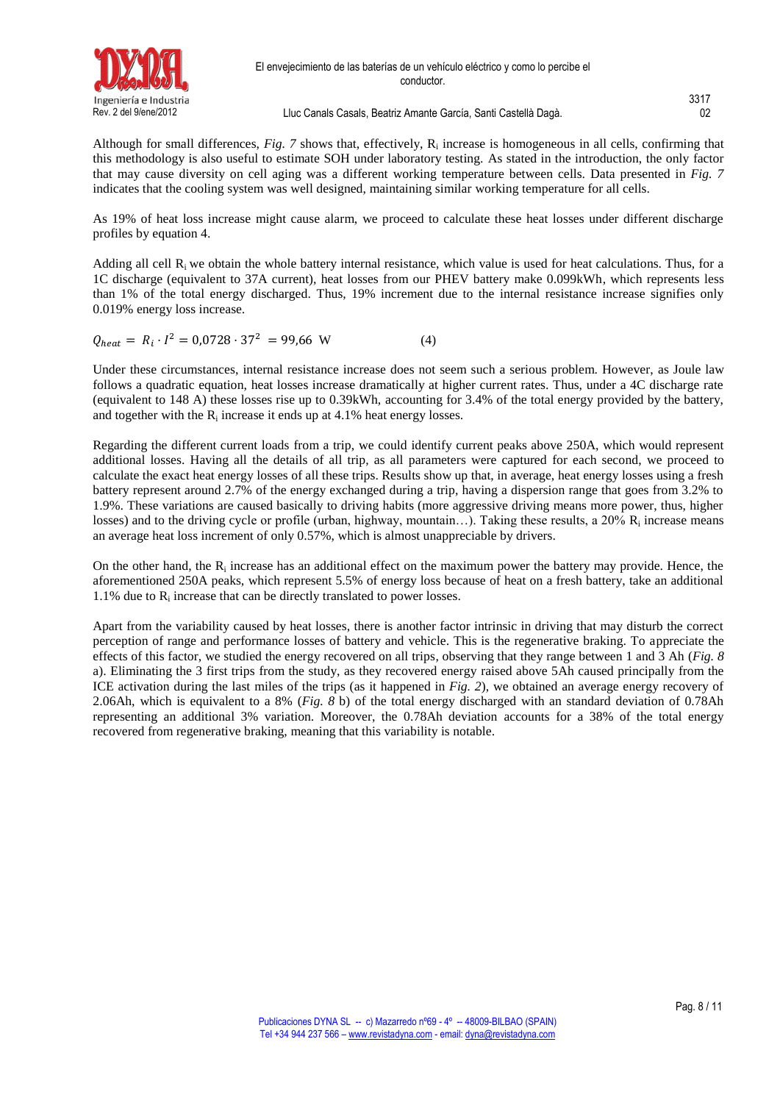

Although for small differences, *Fig.* 7 shows that, effectively, R<sub>i</sub> increase is homogeneous in all cells, confirming that this methodology is also useful to estimate SOH under laboratory testing. As stated in the introduction, the only factor that may cause diversity on cell aging was a different working temperature between cells. Data presented in *Fig. 7* indicates that the cooling system was well designed, maintaining similar working temperature for all cells.

As 19% of heat loss increase might cause alarm, we proceed to calculate these heat losses under different discharge profiles by equation 4.

Adding all cell Ri we obtain the whole battery internal resistance, which value is used for heat calculations. Thus, for a 1C discharge (equivalent to 37A current), heat losses from our PHEV battery make 0.099kWh, which represents less than 1% of the total energy discharged. Thus, 19% increment due to the internal resistance increase signifies only 0.019% energy loss increase.

$$
Q_{heat} = R_i \cdot I^2 = 0.0728 \cdot 37^2 = 99.66 \text{ W} \tag{4}
$$

Under these circumstances, internal resistance increase does not seem such a serious problem. However, as Joule law follows a quadratic equation, heat losses increase dramatically at higher current rates. Thus, under a 4C discharge rate (equivalent to 148 A) these losses rise up to 0.39kWh, accounting for 3.4% of the total energy provided by the battery, and together with the  $R_i$  increase it ends up at 4.1% heat energy losses.

Regarding the different current loads from a trip, we could identify current peaks above 250A, which would represent additional losses. Having all the details of all trip, as all parameters were captured for each second, we proceed to calculate the exact heat energy losses of all these trips. Results show up that, in average, heat energy losses using a fresh battery represent around 2.7% of the energy exchanged during a trip, having a dispersion range that goes from 3.2% to 1.9%. These variations are caused basically to driving habits (more aggressive driving means more power, thus, higher losses) and to the driving cycle or profile (urban, highway, mountain...). Taking these results, a 20%  $R_i$  increase means an average heat loss increment of only 0.57%, which is almost unappreciable by drivers.

On the other hand, the  $R_i$  increase has an additional effect on the maximum power the battery may provide. Hence, the aforementioned 250A peaks, which represent 5.5% of energy loss because of heat on a fresh battery, take an additional  $1.1\%$  due to  $R_i$  increase that can be directly translated to power losses.

Apart from the variability caused by heat losses, there is another factor intrinsic in driving that may disturb the correct perception of range and performance losses of battery and vehicle. This is the regenerative braking. To appreciate the effects of this factor, we studied the energy recovered on all trips, observing that they range between 1 and 3 Ah (*Fig. 8* a). Eliminating the 3 first trips from the study, as they recovered energy raised above 5Ah caused principally from the ICE activation during the last miles of the trips (as it happened in *Fig. 2*), we obtained an average energy recovery of 2.06Ah, which is equivalent to a 8% (*Fig. 8* b) of the total energy discharged with an standard deviation of 0.78Ah representing an additional 3% variation. Moreover, the 0.78Ah deviation accounts for a 38% of the total energy recovered from regenerative braking, meaning that this variability is notable.

3317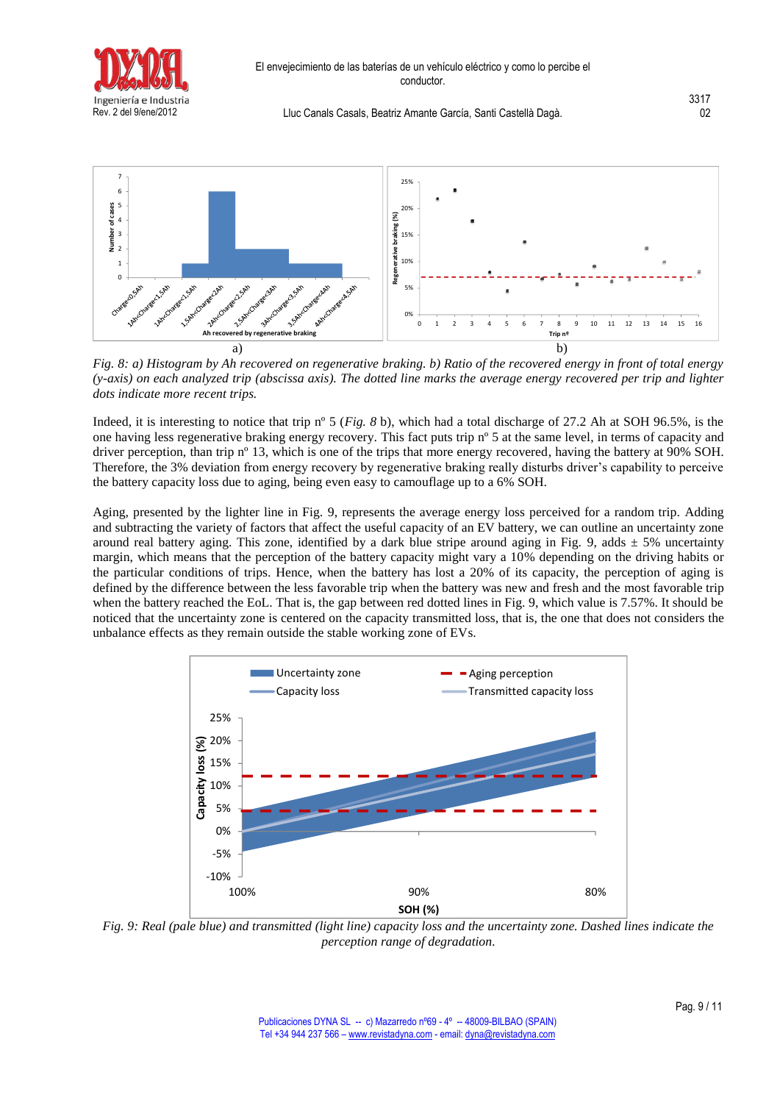

3317



*Fig. 8: a) Histogram by Ah recovered on regenerative braking. b) Ratio of the recovered energy in front of total energy (y-axis) on each analyzed trip (abscissa axis). The dotted line marks the average energy recovered per trip and lighter dots indicate more recent trips.*

Indeed, it is interesting to notice that trip nº 5 (*Fig. 8* b), which had a total discharge of 27.2 Ah at SOH 96.5%, is the one having less regenerative braking energy recovery. This fact puts trip nº 5 at the same level, in terms of capacity and driver perception, than trip n<sup>o</sup> 13, which is one of the trips that more energy recovered, having the battery at 90% SOH. Therefore, the 3% deviation from energy recovery by regenerative braking really disturbs driver's capability to perceive the battery capacity loss due to aging, being even easy to camouflage up to a 6% SOH.

Aging, presented by the lighter line in Fig. 9, represents the average energy loss perceived for a random trip. Adding and subtracting the variety of factors that affect the useful capacity of an EV battery, we can outline an uncertainty zone around real battery aging. This zone, identified by a dark blue stripe around aging in Fig. 9, adds  $\pm$  5% uncertainty margin, which means that the perception of the battery capacity might vary a 10% depending on the driving habits or the particular conditions of trips. Hence, when the battery has lost a 20% of its capacity, the perception of aging is defined by the difference between the less favorable trip when the battery was new and fresh and the most favorable trip when the battery reached the EoL. That is, the gap between red dotted lines in Fig. 9, which value is 7.57%. It should be noticed that the uncertainty zone is centered on the capacity transmitted loss, that is, the one that does not considers the unbalance effects as they remain outside the stable working zone of EVs.



*Fig. 9: Real (pale blue) and transmitted (light line) capacity loss and the uncertainty zone. Dashed lines indicate the perception range of degradation.*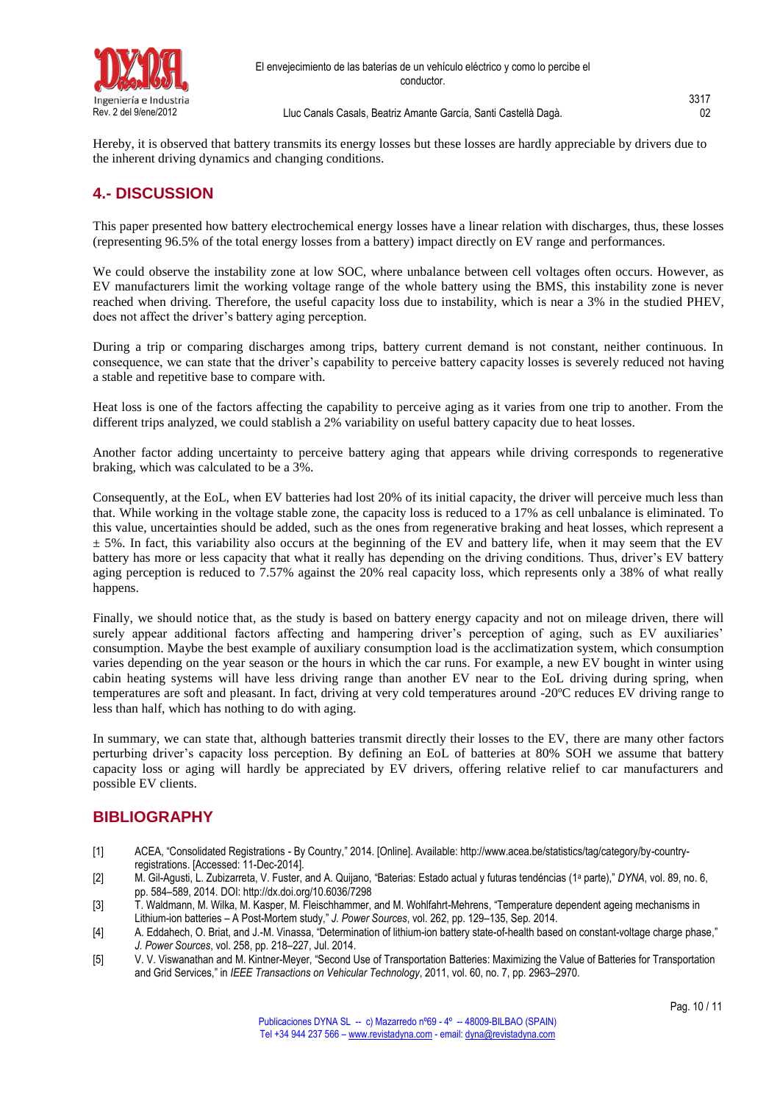

Hereby, it is observed that battery transmits its energy losses but these losses are hardly appreciable by drivers due to the inherent driving dynamics and changing conditions.

### **4.- DISCUSSION**

This paper presented how battery electrochemical energy losses have a linear relation with discharges, thus, these losses (representing 96.5% of the total energy losses from a battery) impact directly on EV range and performances.

We could observe the instability zone at low SOC, where unbalance between cell voltages often occurs. However, as EV manufacturers limit the working voltage range of the whole battery using the BMS, this instability zone is never reached when driving. Therefore, the useful capacity loss due to instability, which is near a 3% in the studied PHEV, does not affect the driver's battery aging perception.

During a trip or comparing discharges among trips, battery current demand is not constant, neither continuous. In consequence, we can state that the driver's capability to perceive battery capacity losses is severely reduced not having a stable and repetitive base to compare with.

Heat loss is one of the factors affecting the capability to perceive aging as it varies from one trip to another. From the different trips analyzed, we could stablish a 2% variability on useful battery capacity due to heat losses.

Another factor adding uncertainty to perceive battery aging that appears while driving corresponds to regenerative braking, which was calculated to be a 3%.

Consequently, at the EoL, when EV batteries had lost 20% of its initial capacity, the driver will perceive much less than that. While working in the voltage stable zone, the capacity loss is reduced to a 17% as cell unbalance is eliminated. To this value, uncertainties should be added, such as the ones from regenerative braking and heat losses, which represent a  $\pm$  5%. In fact, this variability also occurs at the beginning of the EV and battery life, when it may seem that the EV battery has more or less capacity that what it really has depending on the driving conditions. Thus, driver's EV battery aging perception is reduced to 7.57% against the 20% real capacity loss, which represents only a 38% of what really happens.

Finally, we should notice that, as the study is based on battery energy capacity and not on mileage driven, there will surely appear additional factors affecting and hampering driver's perception of aging, such as EV auxiliaries' consumption. Maybe the best example of auxiliary consumption load is the acclimatization system, which consumption varies depending on the year season or the hours in which the car runs. For example, a new EV bought in winter using cabin heating systems will have less driving range than another EV near to the EoL driving during spring, when temperatures are soft and pleasant. In fact, driving at very cold temperatures around -20ºC reduces EV driving range to less than half, which has nothing to do with aging.

In summary, we can state that, although batteries transmit directly their losses to the EV, there are many other factors perturbing driver's capacity loss perception. By defining an EoL of batteries at 80% SOH we assume that battery capacity loss or aging will hardly be appreciated by EV drivers, offering relative relief to car manufacturers and possible EV clients.

### **BIBLIOGRAPHY**

- [1] ACEA, "Consolidated Registrations By Country," 2014. [Online]. Available: http://www.acea.be/statistics/tag/category/by-countryregistrations. [Accessed: 11-Dec-2014].
- [2] M. Gil-Agusti, L. Zubizarreta, V. Fuster, and A. Quijano, "Baterias: Estado actual y futuras tendéncias (1<sup>a</sup> parte)," *DYNA*, vol. 89, no. 6, pp. 584–589, 2014. DOI:<http://dx.doi.org/10.6036/7298>
- [3] T. Waldmann, M. Wilka, M. Kasper, M. Fleischhammer, and M. Wohlfahrt-Mehrens, "Temperature dependent ageing mechanisms in Lithium-ion batteries – A Post-Mortem study," *J. Power Sources*, vol. 262, pp. 129–135, Sep. 2014.
- [4] A. Eddahech, O. Briat, and J.-M. Vinassa, "Determination of lithium-ion battery state-of-health based on constant-voltage charge phase," *J. Power Sources*, vol. 258, pp. 218–227, Jul. 2014.
- [5] V. V. Viswanathan and M. Kintner-Meyer, "Second Use of Transportation Batteries: Maximizing the Value of Batteries for Transportation and Grid Services," in *IEEE Transactions on Vehicular Technology*, 2011, vol. 60, no. 7, pp. 2963–2970.